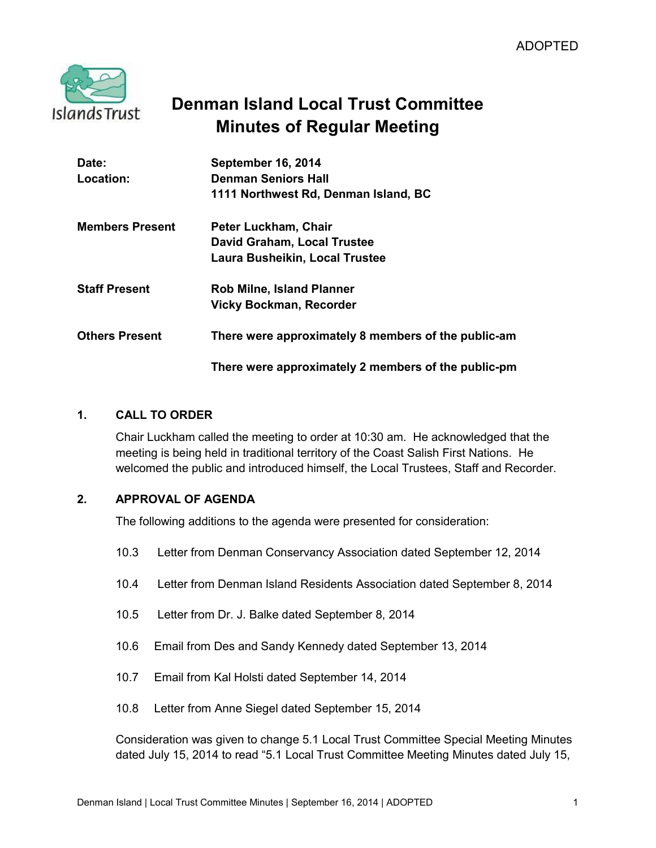

# **Denman Island Local Trust Committee Minutes of Regular Meeting**

| Date:                  | <b>September 16, 2014</b>                           |
|------------------------|-----------------------------------------------------|
| Location:              | <b>Denman Seniors Hall</b>                          |
|                        | 1111 Northwest Rd, Denman Island, BC                |
| <b>Members Present</b> | Peter Luckham, Chair                                |
|                        | <b>David Graham, Local Trustee</b>                  |
|                        | <b>Laura Busheikin, Local Trustee</b>               |
| <b>Staff Present</b>   | <b>Rob Milne, Island Planner</b>                    |
|                        | <b>Vicky Bockman, Recorder</b>                      |
| <b>Others Present</b>  | There were approximately 8 members of the public-am |
|                        | There were approximately 2 members of the public-pm |

### **1. CALL TO ORDER**

Chair Luckham called the meeting to order at 10:30 am. He acknowledged that the meeting is being held in traditional territory of the Coast Salish First Nations. He welcomed the public and introduced himself, the Local Trustees, Staff and Recorder.

### **2. APPROVAL OF AGENDA**

The following additions to the agenda were presented for consideration:

- 10.3 Letter from Denman Conservancy Association dated September 12, 2014
- 10.4 Letter from Denman Island Residents Association dated September 8, 2014
- 10.5 Letter from Dr. J. Balke dated September 8, 2014
- 10.6 Email from Des and Sandy Kennedy dated September 13, 2014
- 10.7 Email from Kal Holsti dated September 14, 2014
- 10.8 Letter from Anne Siegel dated September 15, 2014

Consideration was given to change 5.1 Local Trust Committee Special Meeting Minutes dated July 15, 2014 to read "5.1 Local Trust Committee Meeting Minutes dated July 15,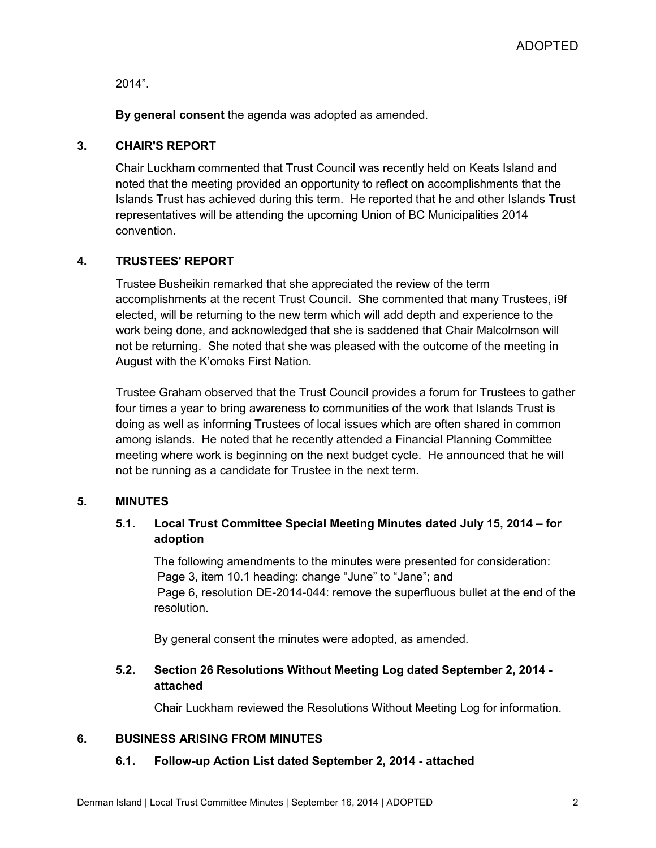2014".

**By general consent** the agenda was adopted as amended.

### **3. CHAIR'S REPORT**

Chair Luckham commented that Trust Council was recently held on Keats Island and noted that the meeting provided an opportunity to reflect on accomplishments that the Islands Trust has achieved during this term. He reported that he and other Islands Trust representatives will be attending the upcoming Union of BC Municipalities 2014 convention.

### **4. TRUSTEES' REPORT**

Trustee Busheikin remarked that she appreciated the review of the term accomplishments at the recent Trust Council. She commented that many Trustees, i9f elected, will be returning to the new term which will add depth and experience to the work being done, and acknowledged that she is saddened that Chair Malcolmson will not be returning. She noted that she was pleased with the outcome of the meeting in August with the K'omoks First Nation.

Trustee Graham observed that the Trust Council provides a forum for Trustees to gather four times a year to bring awareness to communities of the work that Islands Trust is doing as well as informing Trustees of local issues which are often shared in common among islands. He noted that he recently attended a Financial Planning Committee meeting where work is beginning on the next budget cycle. He announced that he will not be running as a candidate for Trustee in the next term.

### **5. MINUTES**

### **5.1. Local Trust Committee Special Meeting Minutes dated July 15, 2014 – for adoption**

The following amendments to the minutes were presented for consideration: Page 3, item 10.1 heading: change "June" to "Jane"; and Page 6, resolution DE-2014-044: remove the superfluous bullet at the end of the resolution.

By general consent the minutes were adopted, as amended.

### **5.2. Section 26 Resolutions Without Meeting Log dated September 2, 2014 attached**

Chair Luckham reviewed the Resolutions Without Meeting Log for information.

### **6. BUSINESS ARISING FROM MINUTES**

### **6.1. Follow-up Action List dated September 2, 2014 - attached**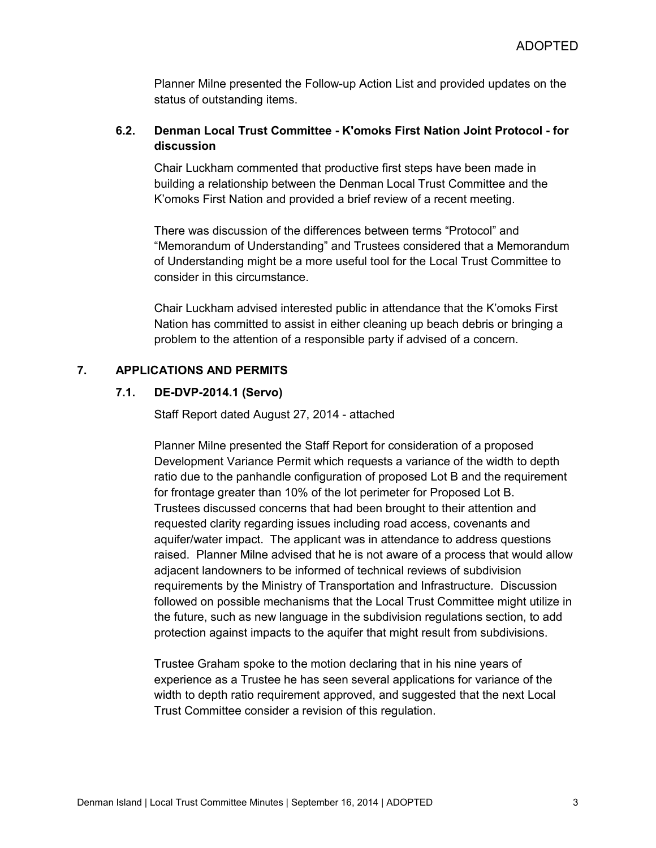Planner Milne presented the Follow-up Action List and provided updates on the status of outstanding items.

### **6.2. Denman Local Trust Committee - K'omoks First Nation Joint Protocol - for discussion**

Chair Luckham commented that productive first steps have been made in building a relationship between the Denman Local Trust Committee and the K'omoks First Nation and provided a brief review of a recent meeting.

There was discussion of the differences between terms "Protocol" and "Memorandum of Understanding" and Trustees considered that a Memorandum of Understanding might be a more useful tool for the Local Trust Committee to consider in this circumstance.

Chair Luckham advised interested public in attendance that the K'omoks First Nation has committed to assist in either cleaning up beach debris or bringing a problem to the attention of a responsible party if advised of a concern.

### **7. APPLICATIONS AND PERMITS**

#### **7.1. DE-DVP-2014.1 (Servo)**

Staff Report dated August 27, 2014 - attached

Planner Milne presented the Staff Report for consideration of a proposed Development Variance Permit which requests a variance of the width to depth ratio due to the panhandle configuration of proposed Lot B and the requirement for frontage greater than 10% of the lot perimeter for Proposed Lot B. Trustees discussed concerns that had been brought to their attention and requested clarity regarding issues including road access, covenants and aquifer/water impact. The applicant was in attendance to address questions raised. Planner Milne advised that he is not aware of a process that would allow adjacent landowners to be informed of technical reviews of subdivision requirements by the Ministry of Transportation and Infrastructure. Discussion followed on possible mechanisms that the Local Trust Committee might utilize in the future, such as new language in the subdivision regulations section, to add protection against impacts to the aquifer that might result from subdivisions.

Trustee Graham spoke to the motion declaring that in his nine years of experience as a Trustee he has seen several applications for variance of the width to depth ratio requirement approved, and suggested that the next Local Trust Committee consider a revision of this regulation.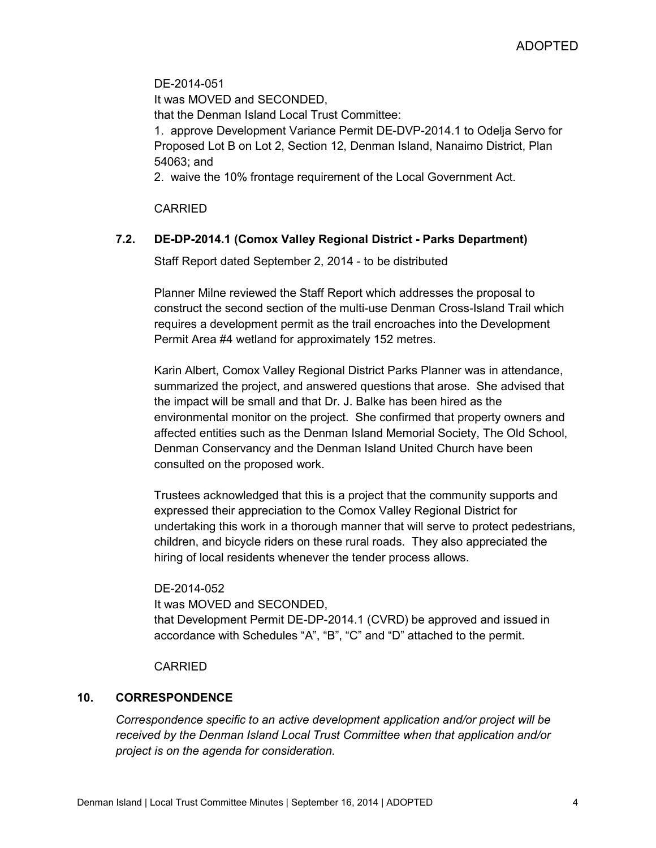DE-2014-051 It was MOVED and SECONDED, that the Denman Island Local Trust Committee: 1. approve Development Variance Permit DE-DVP-2014.1 to Odelja Servo for Proposed Lot B on Lot 2, Section 12, Denman Island, Nanaimo District, Plan 54063; and

2. waive the 10% frontage requirement of the Local Government Act.

CARRIED

### **7.2. DE-DP-2014.1 (Comox Valley Regional District - Parks Department)**

Staff Report dated September 2, 2014 - to be distributed

Planner Milne reviewed the Staff Report which addresses the proposal to construct the second section of the multi-use Denman Cross-Island Trail which requires a development permit as the trail encroaches into the Development Permit Area #4 wetland for approximately 152 metres.

Karin Albert, Comox Valley Regional District Parks Planner was in attendance, summarized the project, and answered questions that arose. She advised that the impact will be small and that Dr. J. Balke has been hired as the environmental monitor on the project. She confirmed that property owners and affected entities such as the Denman Island Memorial Society, The Old School, Denman Conservancy and the Denman Island United Church have been consulted on the proposed work.

Trustees acknowledged that this is a project that the community supports and expressed their appreciation to the Comox Valley Regional District for undertaking this work in a thorough manner that will serve to protect pedestrians, children, and bicycle riders on these rural roads. They also appreciated the hiring of local residents whenever the tender process allows.

DE-2014-052 It was MOVED and SECONDED, that Development Permit DE-DP-2014.1 (CVRD) be approved and issued in accordance with Schedules "A", "B", "C" and "D" attached to the permit.

CARRIED

### **10. CORRESPONDENCE**

*Correspondence specific to an active development application and/or project will be received by the Denman Island Local Trust Committee when that application and/or project is on the agenda for consideration.*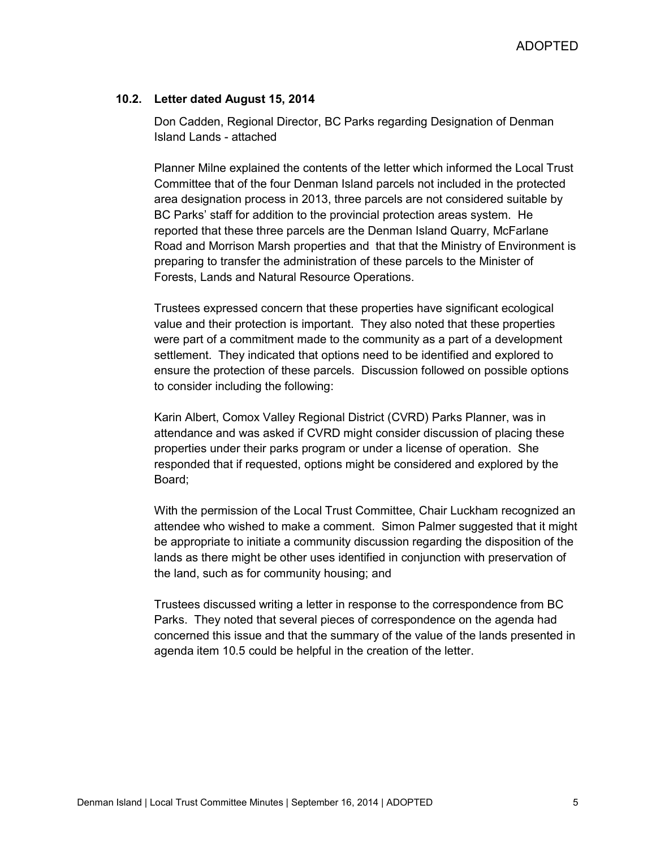ADOPTED

#### **10.2. Letter dated August 15, 2014**

Don Cadden, Regional Director, BC Parks regarding Designation of Denman Island Lands - attached

Planner Milne explained the contents of the letter which informed the Local Trust Committee that of the four Denman Island parcels not included in the protected area designation process in 2013, three parcels are not considered suitable by BC Parks' staff for addition to the provincial protection areas system. He reported that these three parcels are the Denman Island Quarry, McFarlane Road and Morrison Marsh properties and that that the Ministry of Environment is preparing to transfer the administration of these parcels to the Minister of Forests, Lands and Natural Resource Operations.

Trustees expressed concern that these properties have significant ecological value and their protection is important. They also noted that these properties were part of a commitment made to the community as a part of a development settlement. They indicated that options need to be identified and explored to ensure the protection of these parcels. Discussion followed on possible options to consider including the following:

Karin Albert, Comox Valley Regional District (CVRD) Parks Planner, was in attendance and was asked if CVRD might consider discussion of placing these properties under their parks program or under a license of operation. She responded that if requested, options might be considered and explored by the Board;

With the permission of the Local Trust Committee, Chair Luckham recognized an attendee who wished to make a comment. Simon Palmer suggested that it might be appropriate to initiate a community discussion regarding the disposition of the lands as there might be other uses identified in conjunction with preservation of the land, such as for community housing; and

Trustees discussed writing a letter in response to the correspondence from BC Parks. They noted that several pieces of correspondence on the agenda had concerned this issue and that the summary of the value of the lands presented in agenda item 10.5 could be helpful in the creation of the letter.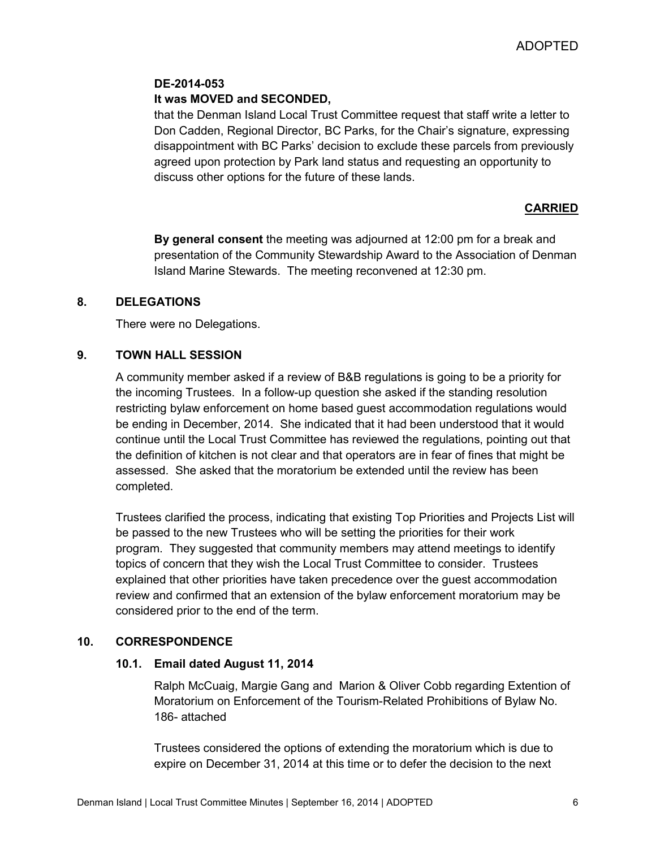#### **DE-2014-053**

### **It was MOVED and SECONDED,**

that the Denman Island Local Trust Committee request that staff write a letter to Don Cadden, Regional Director, BC Parks, for the Chair's signature, expressing disappointment with BC Parks' decision to exclude these parcels from previously agreed upon protection by Park land status and requesting an opportunity to discuss other options for the future of these lands.

#### **CARRIED**

**By general consent** the meeting was adjourned at 12:00 pm for a break and presentation of the Community Stewardship Award to the Association of Denman Island Marine Stewards. The meeting reconvened at 12:30 pm.

#### **8. DELEGATIONS**

There were no Delegations.

### **9. TOWN HALL SESSION**

A community member asked if a review of B&B regulations is going to be a priority for the incoming Trustees. In a follow-up question she asked if the standing resolution restricting bylaw enforcement on home based guest accommodation regulations would be ending in December, 2014. She indicated that it had been understood that it would continue until the Local Trust Committee has reviewed the regulations, pointing out that the definition of kitchen is not clear and that operators are in fear of fines that might be assessed. She asked that the moratorium be extended until the review has been completed.

Trustees clarified the process, indicating that existing Top Priorities and Projects List will be passed to the new Trustees who will be setting the priorities for their work program. They suggested that community members may attend meetings to identify topics of concern that they wish the Local Trust Committee to consider. Trustees explained that other priorities have taken precedence over the guest accommodation review and confirmed that an extension of the bylaw enforcement moratorium may be considered prior to the end of the term.

#### **10. CORRESPONDENCE**

#### **10.1. Email dated August 11, 2014**

Ralph McCuaig, Margie Gang and Marion & Oliver Cobb regarding Extention of Moratorium on Enforcement of the Tourism-Related Prohibitions of Bylaw No. 186- attached

Trustees considered the options of extending the moratorium which is due to expire on December 31, 2014 at this time or to defer the decision to the next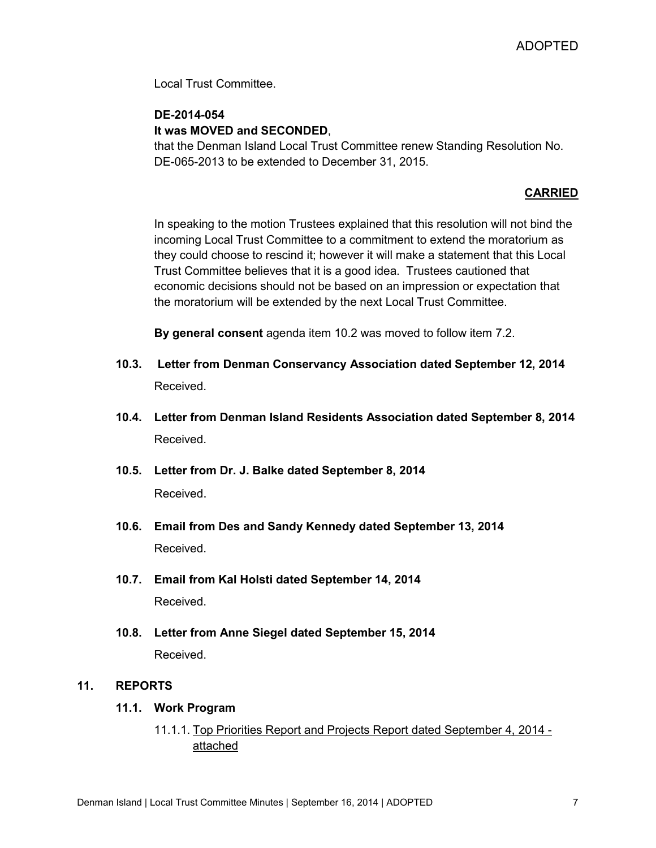Local Trust Committee.

### **DE-2014-054**

### **It was MOVED and SECONDED**,

that the Denman Island Local Trust Committee renew Standing Resolution No. DE-065-2013 to be extended to December 31, 2015.

### **CARRIED**

In speaking to the motion Trustees explained that this resolution will not bind the incoming Local Trust Committee to a commitment to extend the moratorium as they could choose to rescind it; however it will make a statement that this Local Trust Committee believes that it is a good idea. Trustees cautioned that economic decisions should not be based on an impression or expectation that the moratorium will be extended by the next Local Trust Committee.

**By general consent** agenda item 10.2 was moved to follow item 7.2.

- **10.3. Letter from Denman Conservancy Association dated September 12, 2014** Received.
- **10.4. Letter from Denman Island Residents Association dated September 8, 2014** Received.
- **10.5. Letter from Dr. J. Balke dated September 8, 2014** Received.
- **10.6. Email from Des and Sandy Kennedy dated September 13, 2014** Received.
- **10.7. Email from Kal Holsti dated September 14, 2014** Received.
- **10.8. Letter from Anne Siegel dated September 15, 2014** Received.

### **11. REPORTS**

### **11.1. Work Program**

### 11.1.1. Top Priorities Report and Projects Report dated September 4, 2014 attached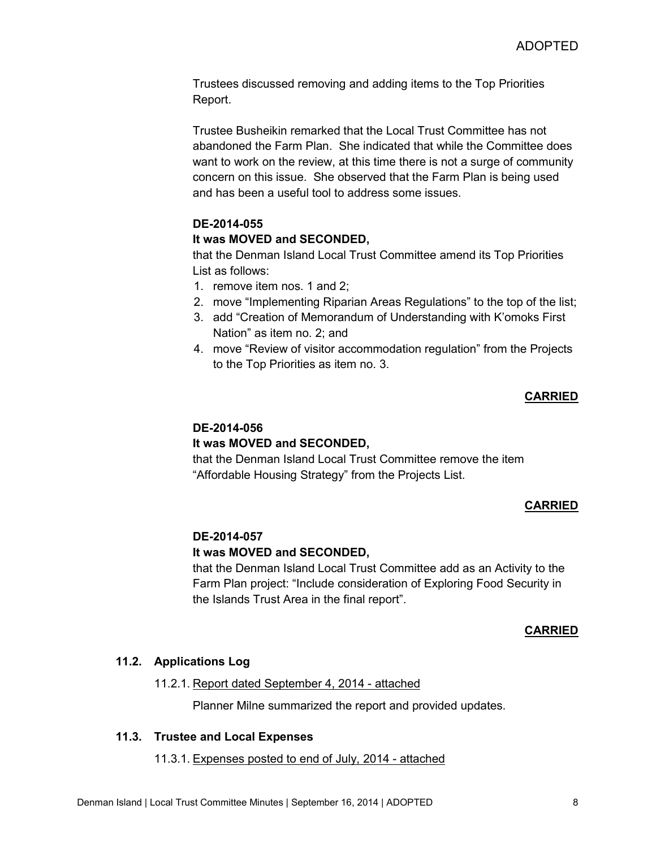Trustees discussed removing and adding items to the Top Priorities Report.

Trustee Busheikin remarked that the Local Trust Committee has not abandoned the Farm Plan. She indicated that while the Committee does want to work on the review, at this time there is not a surge of community concern on this issue. She observed that the Farm Plan is being used and has been a useful tool to address some issues.

### **DE-2014-055**

### **It was MOVED and SECONDED,**

that the Denman Island Local Trust Committee amend its Top Priorities List as follows:

- 1. remove item nos. 1 and 2;
- 2. move "Implementing Riparian Areas Regulations" to the top of the list;
- 3. add "Creation of Memorandum of Understanding with K'omoks First Nation" as item no. 2; and
- 4. move "Review of visitor accommodation regulation" from the Projects to the Top Priorities as item no. 3.

### **CARRIED**

## **DE-2014-056**

### **It was MOVED and SECONDED,**

that the Denman Island Local Trust Committee remove the item "Affordable Housing Strategy" from the Projects List.

### **CARRIED**

### **DE-2014-057**

### **It was MOVED and SECONDED,**

that the Denman Island Local Trust Committee add as an Activity to the Farm Plan project: "Include consideration of Exploring Food Security in the Islands Trust Area in the final report".

#### **CARRIED**

### **11.2. Applications Log**

#### 11.2.1. Report dated September 4, 2014 - attached

Planner Milne summarized the report and provided updates.

### **11.3. Trustee and Local Expenses**

#### 11.3.1. Expenses posted to end of July, 2014 - attached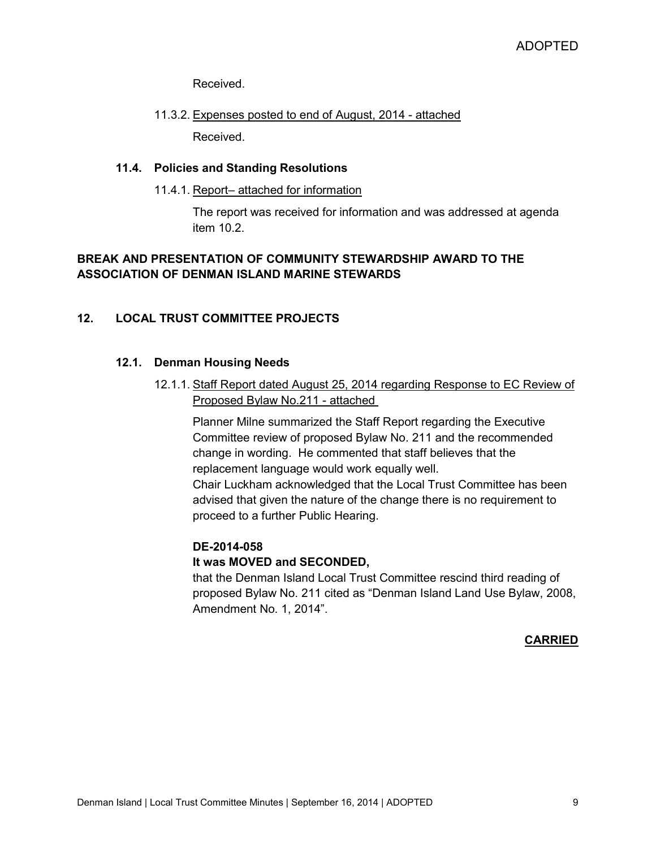Received.

# 11.3.2. Expenses posted to end of August, 2014 - attached

Received.

### **11.4. Policies and Standing Resolutions**

### 11.4.1. Report– attached for information

The report was received for information and was addressed at agenda item 10.2.

### **BREAK AND PRESENTATION OF COMMUNITY STEWARDSHIP AWARD TO THE ASSOCIATION OF DENMAN ISLAND MARINE STEWARDS**

### **12. LOCAL TRUST COMMITTEE PROJECTS**

### **12.1. Denman Housing Needs**

12.1.1. Staff Report dated August 25, 2014 regarding Response to EC Review of Proposed Bylaw No.211 - attached

Planner Milne summarized the Staff Report regarding the Executive Committee review of proposed Bylaw No. 211 and the recommended change in wording. He commented that staff believes that the replacement language would work equally well.

Chair Luckham acknowledged that the Local Trust Committee has been advised that given the nature of the change there is no requirement to proceed to a further Public Hearing.

### **DE-2014-058**

### **It was MOVED and SECONDED,**

that the Denman Island Local Trust Committee rescind third reading of proposed Bylaw No. 211 cited as "Denman Island Land Use Bylaw, 2008, Amendment No. 1, 2014".

**CARRIED**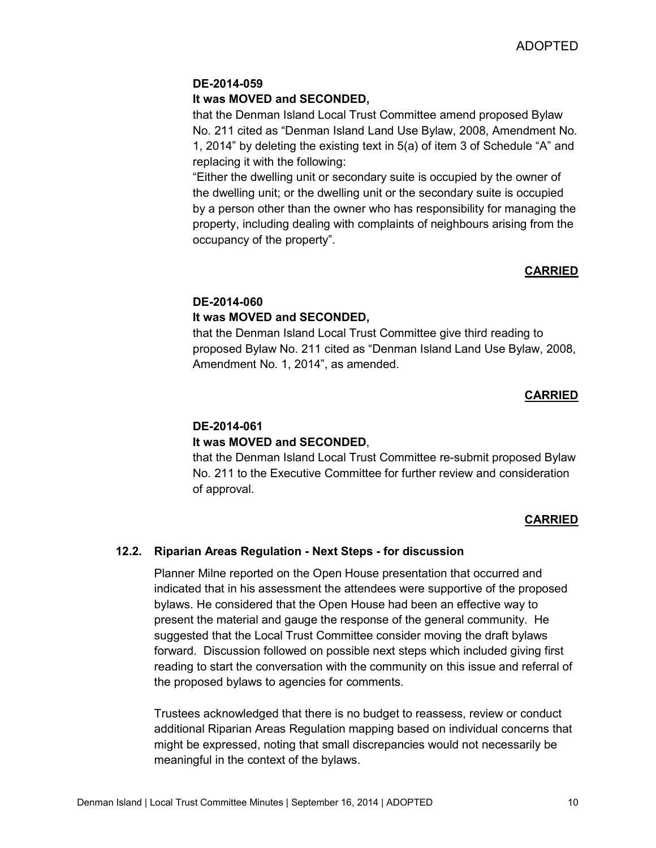### **DE-2014-059**

#### **It was MOVED and SECONDED,**

that the Denman Island Local Trust Committee amend proposed Bylaw No. 211 cited as "Denman Island Land Use Bylaw, 2008, Amendment No. 1, 2014" by deleting the existing text in 5(a) of item 3 of Schedule "A" and replacing it with the following:

"Either the dwelling unit or secondary suite is occupied by the owner of the dwelling unit; or the dwelling unit or the secondary suite is occupied by a person other than the owner who has responsibility for managing the property, including dealing with complaints of neighbours arising from the occupancy of the property".

#### **CARRIED**

### **DE-2014-060 It was MOVED and SECONDED,**

that the Denman Island Local Trust Committee give third reading to proposed Bylaw No. 211 cited as "Denman Island Land Use Bylaw, 2008, Amendment No. 1, 2014", as amended.

#### **CARRIED**

### **DE-2014-061 It was MOVED and SECONDED**,

that the Denman Island Local Trust Committee re-submit proposed Bylaw No. 211 to the Executive Committee for further review and consideration of approval.

#### **CARRIED**

### **12.2. Riparian Areas Regulation - Next Steps - for discussion**

Planner Milne reported on the Open House presentation that occurred and indicated that in his assessment the attendees were supportive of the proposed bylaws. He considered that the Open House had been an effective way to present the material and gauge the response of the general community. He suggested that the Local Trust Committee consider moving the draft bylaws forward. Discussion followed on possible next steps which included giving first reading to start the conversation with the community on this issue and referral of the proposed bylaws to agencies for comments.

Trustees acknowledged that there is no budget to reassess, review or conduct additional Riparian Areas Regulation mapping based on individual concerns that might be expressed, noting that small discrepancies would not necessarily be meaningful in the context of the bylaws.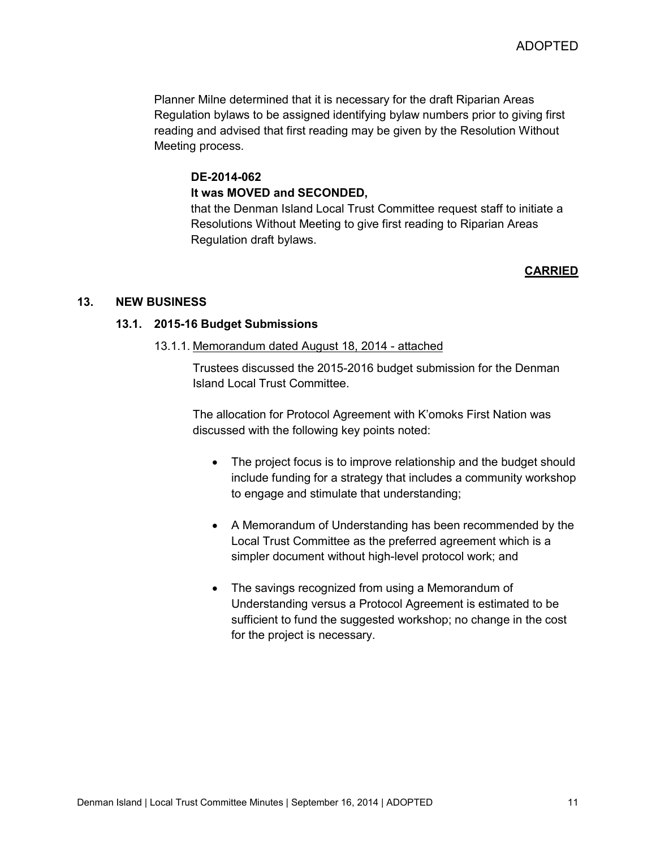Planner Milne determined that it is necessary for the draft Riparian Areas Regulation bylaws to be assigned identifying bylaw numbers prior to giving first reading and advised that first reading may be given by the Resolution Without Meeting process.

#### **DE-2014-062 It was MOVED and SECONDED,**

that the Denman Island Local Trust Committee request staff to initiate a Resolutions Without Meeting to give first reading to Riparian Areas Regulation draft bylaws.

#### **CARRIED**

#### **13. NEW BUSINESS**

#### **13.1. 2015-16 Budget Submissions**

#### 13.1.1. Memorandum dated August 18, 2014 - attached

Trustees discussed the 2015-2016 budget submission for the Denman Island Local Trust Committee.

The allocation for Protocol Agreement with K'omoks First Nation was discussed with the following key points noted:

- The project focus is to improve relationship and the budget should include funding for a strategy that includes a community workshop to engage and stimulate that understanding;
- A Memorandum of Understanding has been recommended by the Local Trust Committee as the preferred agreement which is a simpler document without high-level protocol work; and
- The savings recognized from using a Memorandum of Understanding versus a Protocol Agreement is estimated to be sufficient to fund the suggested workshop; no change in the cost for the project is necessary.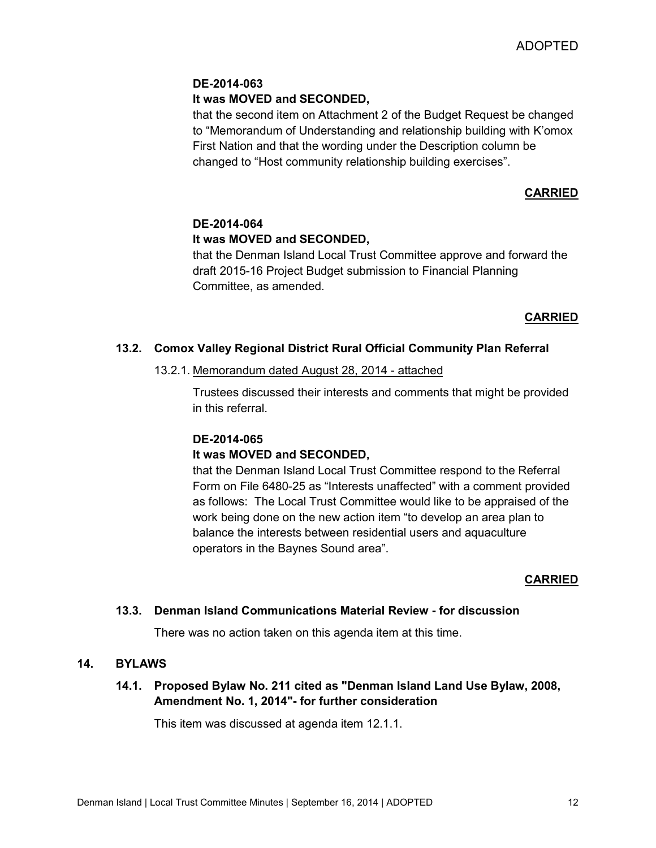### **DE-2014-063**

### **It was MOVED and SECONDED,**

that the second item on Attachment 2 of the Budget Request be changed to "Memorandum of Understanding and relationship building with K'omox First Nation and that the wording under the Description column be changed to "Host community relationship building exercises".

### **CARRIED**

### **DE-2014-064 It was MOVED and SECONDED,**

that the Denman Island Local Trust Committee approve and forward the draft 2015-16 Project Budget submission to Financial Planning Committee, as amended.

### **CARRIED**

### **13.2. Comox Valley Regional District Rural Official Community Plan Referral**

### 13.2.1. Memorandum dated August 28, 2014 - attached

Trustees discussed their interests and comments that might be provided in this referral.

### **DE-2014-065**

### **It was MOVED and SECONDED,**

that the Denman Island Local Trust Committee respond to the Referral Form on File 6480-25 as "Interests unaffected" with a comment provided as follows: The Local Trust Committee would like to be appraised of the work being done on the new action item "to develop an area plan to balance the interests between residential users and aquaculture operators in the Baynes Sound area".

### **CARRIED**

### **13.3. Denman Island Communications Material Review - for discussion**

There was no action taken on this agenda item at this time.

#### **14. BYLAWS**

### **14.1. Proposed Bylaw No. 211 cited as "Denman Island Land Use Bylaw, 2008, Amendment No. 1, 2014"- for further consideration**

This item was discussed at agenda item 12.1.1.